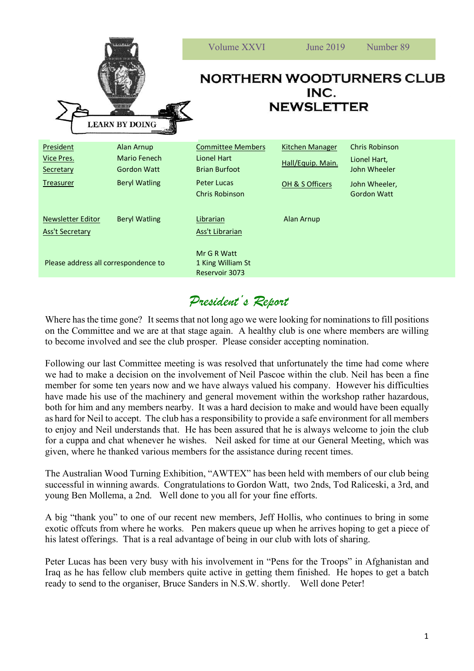| <b>LEARN BY DOING</b>                       |                            | Volume XXVI                                                   | June 2019              | Number 89                             |
|---------------------------------------------|----------------------------|---------------------------------------------------------------|------------------------|---------------------------------------|
|                                             |                            | <b>NORTHERN WOODTURNERS CLUB</b><br>INC.<br><b>NEWSLETTER</b> |                        |                                       |
| President<br>Vice Pres.                     | Alan Arnup<br>Mario Fenech | <b>Committee Members</b><br><b>Lionel Hart</b>                | <b>Kitchen Manager</b> | <b>Chris Robinson</b><br>Lionel Hart, |
| Secretary                                   | <b>Gordon Watt</b>         | <b>Brian Burfoot</b>                                          | Hall/Equip. Main.      | John Wheeler                          |
| <b>Treasurer</b>                            | <b>Beryl Watling</b>       | <b>Peter Lucas</b><br><b>Chris Robinson</b>                   | OH & S Officers        | John Wheeler,<br><b>Gordon Watt</b>   |
| Newsletter Editor<br><b>Ass't Secretary</b> | <b>Beryl Watling</b>       | Librarian<br><b>Ass't Librarian</b>                           | Alan Arnup             |                                       |
| Please address all correspondence to        |                            | Mr G R Watt<br>1 King William St<br>Reservoir 3073            |                        |                                       |

## *President's Report*

Where has the time gone? It seems that not long ago we were looking for nominations to fill positions on the Committee and we are at that stage again. A healthy club is one where members are willing to become involved and see the club prosper. Please consider accepting nomination.

Following our last Committee meeting is was resolved that unfortunately the time had come where we had to make a decision on the involvement of Neil Pascoe within the club. Neil has been a fine member for some ten years now and we have always valued his company. However his difficulties have made his use of the machinery and general movement within the workshop rather hazardous, both for him and any members nearby. It was a hard decision to make and would have been equally as hard for Neil to accept. The club has a responsibility to provide a safe environment for all members to enjoy and Neil understands that. He has been assured that he is always welcome to join the club for a cuppa and chat whenever he wishes. Neil asked for time at our General Meeting, which was given, where he thanked various members for the assistance during recent times.

The Australian Wood Turning Exhibition, "AWTEX" has been held with members of our club being successful in winning awards. Congratulations to Gordon Watt, two 2nds, Tod Raliceski, a 3rd, and young Ben Mollema, a 2nd. Well done to you all for your fine efforts.

A big "thank you" to one of our recent new members, Jeff Hollis, who continues to bring in some exotic offcuts from where he works. Pen makers queue up when he arrives hoping to get a piece of his latest offerings. That is a real advantage of being in our club with lots of sharing.

Peter Lucas has been very busy with his involvement in "Pens for the Troops" in Afghanistan and Iraq as he has fellow club members quite active in getting them finished. He hopes to get a batch ready to send to the organiser, Bruce Sanders in N.S.W. shortly. Well done Peter!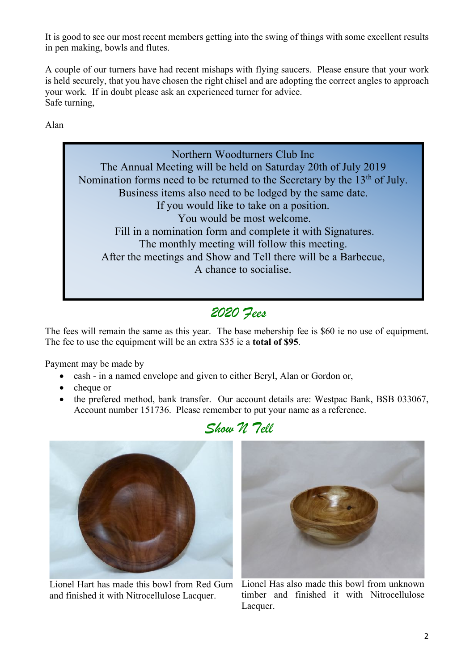It is good to see our most recent members getting into the swing of things with some excellent results in pen making, bowls and flutes.

A couple of our turners have had recent mishaps with flying saucers. Please ensure that your work is held securely, that you have chosen the right chisel and are adopting the correct angles to approach your work. If in doubt please ask an experienced turner for advice. Safe turning,

Alan

*Pens for True Troops (Council of Woodwigs newsletter, 6*  $\mu$ Northern Woodturners Club Inc The Annual Meeting will be held on Saturday 20th of July 2019 Nomination forms need to be returned to the Secretary by the  $13<sup>th</sup>$  of July. Business items also need to be lodged by the same date. If you would like to take on a position. You would be most welcome. Fill in a nomination form and complete it with Signatures. The monthly meeting will follow this meeting. After the meetings and Show and Tell there will be a Barbecue, A chance to socialise.

## *2020 Fees*

The fees will remain the same as this year. The base mebership fee is \$60 ie no use of equipment. The fee to use the equipment will be an extra \$35 ie a **total of \$95**.

Payment may be made by

- cash in a named envelope and given to either Beryl, Alan or Gordon or,
- cheque or
- the prefered method, bank transfer. Our account details are: Westpac Bank, BSB 033067, Account number 151736. Please remember to put your name as a reference.





Lionel Hart has made this bowl from Red Gum and finished it with Nitrocellulose Lacquer.



Lionel Has also made this bowl from unknown timber and finished it with Nitrocellulose Lacquer.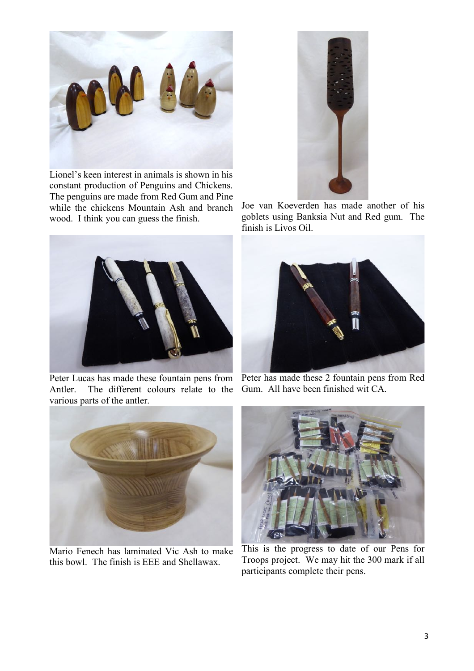

Lionel's keen interest in animals is shown in his constant production of Penguins and Chickens. The penguins are made from Red Gum and Pine while the chickens Mountain Ash and branch wood. I think you can guess the finish.



Peter Lucas has made these fountain pens from Antler. The different colours relate to the various parts of the antler.



Mario Fenech has laminated Vic Ash to make this bowl. The finish is EEE and Shellawax.



Joe van Koeverden has made another of his goblets using Banksia Nut and Red gum. The finish is Livos Oil.



Peter has made these 2 fountain pens from Red Gum. All have been finished wit CA.



This is the progress to date of our Pens for Troops project. We may hit the 300 mark if all participants complete their pens.